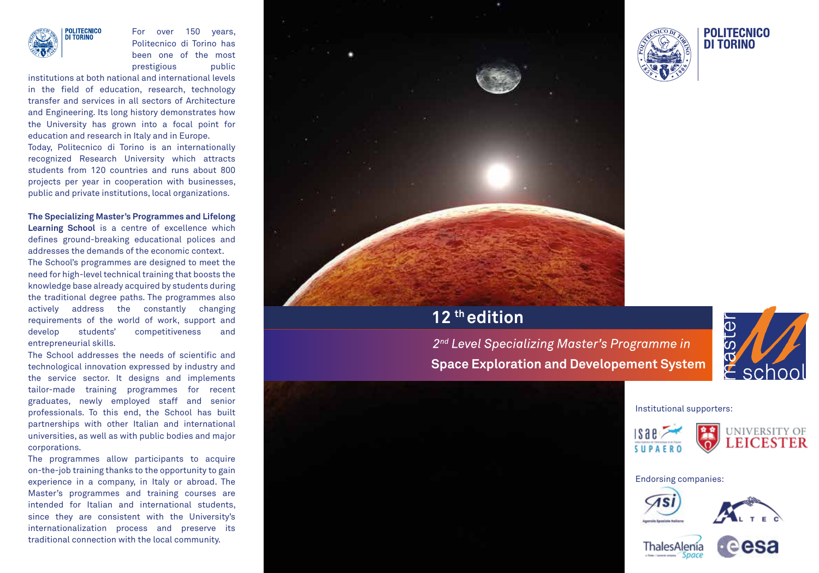

For over 150 years, Politecnico di Torino has been one of the most prestigious public

institutions at both national and international levels in the field of education, research, technology transfer and services in all sectors of Architecture and Engineering. Its long history demonstrates how the University has grown into a focal point for education and research in Italy and in Europe. Today, Politecnico di Torino is an internationally recognized Research University which attracts students from 120 countries and runs about 800 projects per year in cooperation with businesses, public and private institutions, local organizations.

**The Specializing Master's Programmes and Lifelong Learning School** is a centre of excellence which defines ground-breaking educational polices and addresses the demands of the economic context.

The School's programmes are designed to meet the need for high-level technical training that boosts the knowledge base already acquired by students during the traditional degree paths. The programmes also actively address the constantly changing requirements of the world of work, support and develop students' competitiveness and entrepreneurial skills.

The School addresses the needs of scientific and technological innovation expressed by industry and the service sector. It designs and implements tailor-made training programmes for recent graduates, newly employed staff and senior professionals. To this end, the School has built partnerships with other Italian and international universities, as well as with public bodies and major corporations.

The programmes allow participants to acquire on-the-job training thanks to the opportunity to gain experience in a company, in Italy or abroad. The Master's programmes and training courses are intended for Italian and international students, since they are consistent with the University's internationalization process and preserve its traditional connection with the local community.







## **12 th edition**

*2nd Level Specializing Master's Programme in*  **Space Exploration and Developement System** 



Institutional supporters:





Endorsing companies: